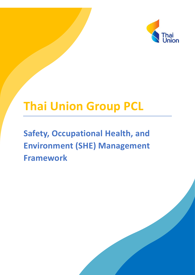

# **Thai Union Group PCL**

## **Safety, Occupational Health, and Environment (SHE) Management Framework**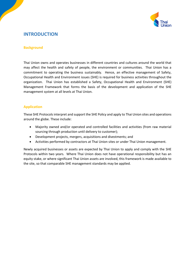

### **INTRODUCTION**

#### **Background**

Thai Union owns and operates businesses in different countries and cultures around the world that may affect the health and safety of people, the environment or communities. Thai Union has a commitment to operating the business sustainably. Hence, an effective management of Safety, Occupational Health and Environment issues (SHE) is required for business activities throughout the organization. Thai Union has established a Safety, Occupational Health and Environment (SHE) Management Framework that forms the basis of the development and application of the SHE management system at all levels at Thai Union.

#### **Application**

These SHE Protocols interpret and support the SHE Policy and apply to Thai Union sites and operations around the globe. These include:

- Majority owned and/or operated and controlled facilities and activities (from raw material sourcing through production until delivery to customer);
- Development projects, mergers, acquisitions and divestments; and
- Activities performed by contractors at Thai Union sites or under Thai Union management.

Newly acquired businesses or assets are expected by Thai Union to apply and comply with the SHE Protocols within two years. Where Thai Union does not have operational responsibility but has an equity stake, or where significant Thai Union assets are involved, this framework is made available to the site, so that comparable SHE management standards may be applied.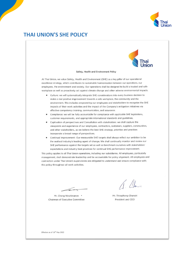

## **THAI UNION'S SHE POLICY**



#### Safety, Health and Environment Policy

At Thai Union, we value Safety, Health and Environment (SHE) as a key pillar of our operational excellence strategy, which contributes to sustainable harmonization between our operations, our employees, the environment and society. Our operations shall be designed to build a trusted and safe workplace as well as proactively act against climate change and other adverse environmental impacts.

- Culture: we will systematically integrate SHE considerations into every business decision to make a real positive improvement towards a safe workplace, the community and the environment. This includes empowering our employees and stakeholders to recognize the SHE impacts of their work activities and the impact of the Company's mitigation initiatives via effective competency training, communication, and assurance.
- Compliance: we will be fully accountable for compliance with applicable SHE legislations, customer requirements, and appropriate international standards and guidelines.
- Captivation of perspectives and Consultation with stakeholders: we shall capture the viewpoints and experience of our employees, contractors, customers, suppliers, communities, and other stakeholders, as we believe the best SHE strategy, priorities and practices incorporate a broad range of perspectives.
- Continual Improvement: Our measurable SHE targets shall always reflect our ambition to be the seafood industry's leading agent of change. We shall continually monitor and review our SHE performance against the targets set as well as benchmark ourselves with stakeholders' expectations and industry best practices for continual SHE performance improvement.

This policy applies to all Thai Union operations, including our subsidiaries. All employees, particularly management, shall demonstrate leadership and be accountable for policy alignment. All employees and contractors under Thai Union's supervisions are obligated to understand and ensure compliance with this policy throughout all work activities.

Mr. Cheng Niruttinanon \* Chairman of Executive Committee

 $11$ 

Mr. Thiraphong Chansiri President and CEO

Effective as of 10<sup>th</sup> May 2022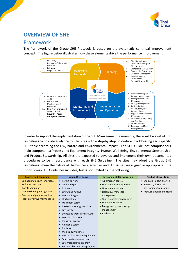

## **OVERVIEW OF SHE**

## Framework

The framework of the Group SHE Protocols is based on the systematic continual improvement concept. The figure below illustrates how these elements drive the performance improvement.



In order to support the implementation of the SHE Management Framework, there will be a set of SHE Guidelines to provide guidance for the sites with a step-by-step procedure in addressing each specific SHE topic according the risk, hazard and environmental impact. The SHE Guidelines comprise four main components: Process and Equipment Integrity, Human Well-Being, Environmental Stewardship, and Product Stewardship. All sites are expected to develop and implement their own documented procedures to be in accordance with each SHE Guideline. The sites may adopt the Group SHE Guidelines where the nature of the business, activities and SHE issues are aligned as appropriate. The list of Group SHE Guidelines includes, but is not limited to, the following:

| <b>Process and Equipment</b>     | <b>Human Well-Being</b>                    | <b>Environmental Stewardship</b> | <b>Product Stewardship</b> |
|----------------------------------|--------------------------------------------|----------------------------------|----------------------------|
| • Engineering design for process | $\bullet$ Permit to work                   | • Air emission control           | Life cycle impact analysis |
| and infrastructure               | • Confined space                           | • Wastewater management          | Research, design and       |
| • Construction and               | • Hot work                                 | • Waste management               | development of product     |
| commissioning management         | • Lifting and rigging                      | • Hazardous materials            | Product labeling and claim |
| • Process and plant operation    | • Work at height                           | management                       |                            |
| • Plant preventive maintenance   | Electrical safety<br>$\bullet$             | • Water scarcity management      |                            |
|                                  | • Machinery safety                         | • Water conservation             |                            |
|                                  | Hazardous energy isolation<br>$\bullet$    | • Energy and greenhouse gas      |                            |
|                                  | $\bullet$ Fire safety                      | management                       |                            |
|                                  | Diving and work in/near water<br>$\bullet$ | • Biodiversity                   |                            |
|                                  | Work in cold room<br>$\bullet$             |                                  |                            |
|                                  | • Industrial hygiene                       |                                  |                            |
|                                  | • Ammonia safety                           |                                  |                            |
|                                  | Radiation<br>$\bullet$                     |                                  |                            |
|                                  | • Medical surveillance                     |                                  |                            |
|                                  | Prosomal protective equipment<br>$\bullet$ |                                  |                            |
|                                  | • Safety culture assessment                |                                  |                            |
|                                  | • Safety leadership program                |                                  |                            |
|                                  | Behavior-based safety program<br>$\bullet$ |                                  |                            |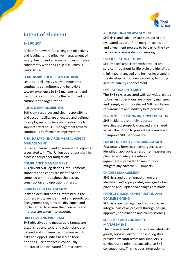

## **Intent of Element**

#### **SHE POLICY**

A clear framework for setting the objectives and leading to the effective management of safety, health and environment performance consistently with the Group SHE Policy is established.

#### **LEADERSHIP, CULTURE AND BEHAVIOR**

Leaders at all levels visibly demonstrate continuing commitment and behaviors toward excellence in SHE management and performance, supporting the reinforced SHE culture in the organization.

#### **ROLES & RESPONSIBILITIES**

Sufficient resources and clear responsibility and accountability are allocated and defined to employees, suppliers and contractors to support effective SHE management toward continuous performance improvement.

#### **RISK, HAZARD, ENVIRONMENTAL ASPECT MANAGEMENT**

SHE risks, hazards, and environmental aspects associated with Thai Union operations shall be assessed for proper mitigations

#### **COMPLIANCE MANAGEMENT**

All relevant SHE legislations, requirements, standards and codes are identified and complied with throughout the design, construction and operations phases.

#### **STAKEHOLDER ENGAGEMENT**

Stakeholders and parties interested in the business entity are identified and prioritized. Engagement programs are developed and implemented to ensure their concerns and interests are taken into account.

#### **OBJECTIVE AND PROGRAM**

SHE objectives and measurable targets are established and coherent action plans are defined and implemented to manage SHE risks and opportunities based on their priorities. Performance is continually monitored and evaluated for improvement.

#### **ACQUISITION AND DIVESTMENT**

SHE risks and liabilities are considered and evaluated as part of the merger, acquisition and divestment process to be part of the key factors in business decision making.

#### **PRODUCT STEWARDSHIP**

SHE impacts associated with product and service throughout its life cycle are identified, minimized, managed and further leveraged in the development of new products, factoring in sustainability enhancement.

#### **OPERATIONAL INTEGRITY**

The SHE risks associated with activities related to business operations are properly managed and comply with the relevant SHE regulatory requirements and industry best practices.

#### **INCIDENT REPORTING AND INVESTIGATION**

SHE incidents are timely reported, investigated, properly managed and shared across Thai Union to prevent recurrence and to improve SHE performance.

#### **EMERGENCY AND CRISIS MANAGEMENT**

Reasonably foreseeable emergencies are identified, appropriate response measures are planned and adequate intervention equipment is provided to minimize or mitigate any adverse SHE impacts.

#### **CHANGE MANAGEMENT**

SHE risks and other impacts from are identified and appropriately managed when planned and unplanned changes are made.

#### **PROJECT DESIGN, CONSTRUCTION AND COMMISSIONING**

SHE risks are managed and reduced as an integral part of all projects through design, approval, construction and commissioning.

#### **SUPPLIERS AND CONTRACTOR MANAGEMENT**

The management of SHE risks associated with goods, services, distribution and logistics provided by contractors and suppliers is carried out to minimize any adverse SHE consequences. This includes integration of